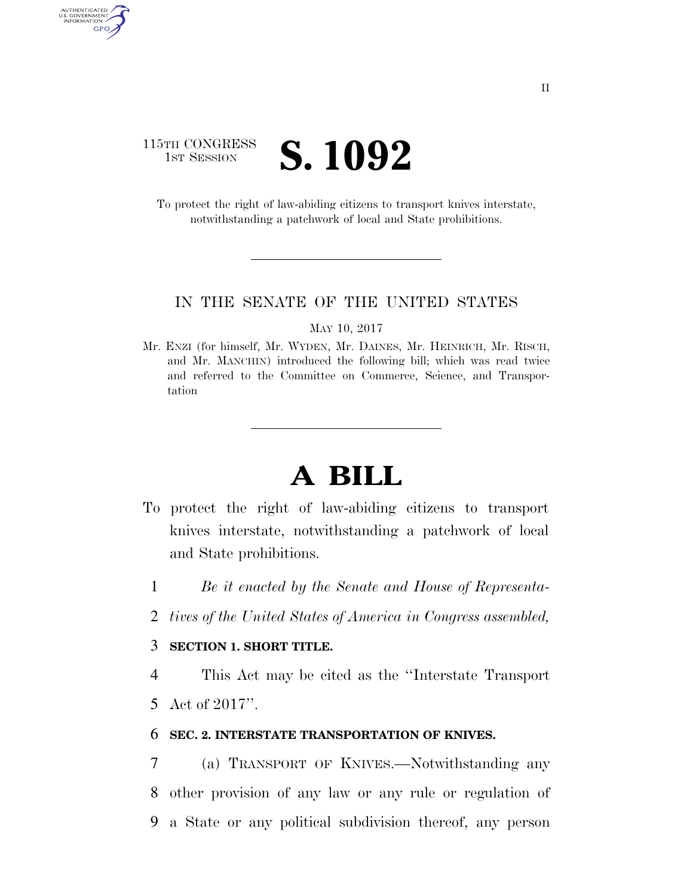## 115TH CONGRESS **1ST SESSION S. 1092**

AUTHENTICATED<br>U.S. GOVERNMENT<br>INFORMATION GPO

> To protect the right of law-abiding citizens to transport knives interstate, notwithstanding a patchwork of local and State prohibitions.

### IN THE SENATE OF THE UNITED STATES

MAY 10, 2017

Mr. ENZI (for himself, Mr. WYDEN, Mr. DAINES, Mr. HEINRICH, Mr. RISCH, and Mr. MANCHIN) introduced the following bill; which was read twice and referred to the Committee on Commerce, Science, and Transportation

# **A BILL**

- To protect the right of law-abiding citizens to transport knives interstate, notwithstanding a patchwork of local and State prohibitions.
	- 1 *Be it enacted by the Senate and House of Representa-*
	- 2 *tives of the United States of America in Congress assembled,*

### 3 **SECTION 1. SHORT TITLE.**

4 This Act may be cited as the ''Interstate Transport 5 Act of 2017''.

### 6 **SEC. 2. INTERSTATE TRANSPORTATION OF KNIVES.**

7 (a) TRANSPORT OF KNIVES.—Notwithstanding any 8 other provision of any law or any rule or regulation of 9 a State or any political subdivision thereof, any person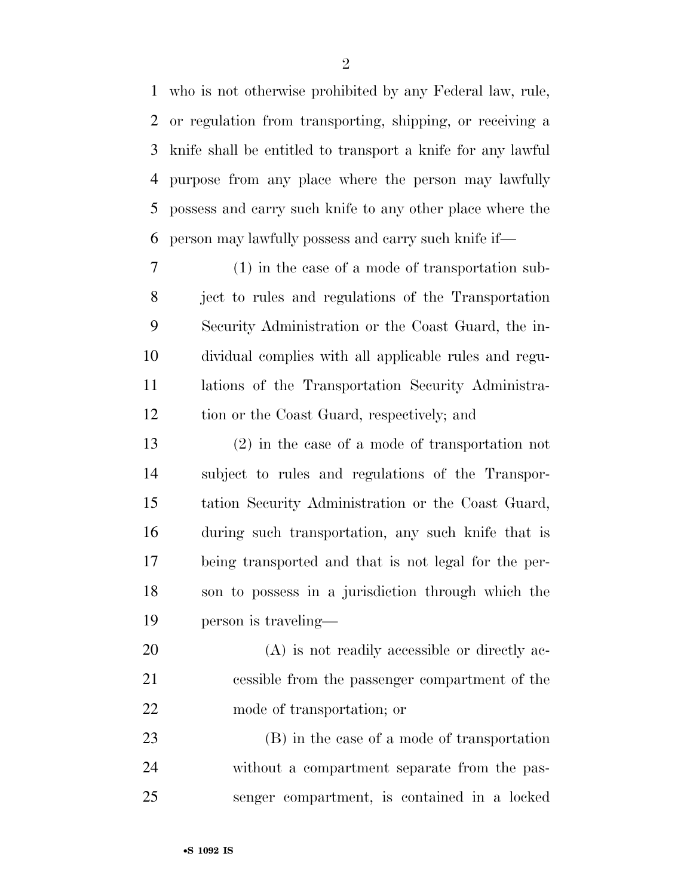who is not otherwise prohibited by any Federal law, rule, or regulation from transporting, shipping, or receiving a knife shall be entitled to transport a knife for any lawful purpose from any place where the person may lawfully possess and carry such knife to any other place where the person may lawfully possess and carry such knife if—

 (1) in the case of a mode of transportation sub- ject to rules and regulations of the Transportation Security Administration or the Coast Guard, the in- dividual complies with all applicable rules and regu- lations of the Transportation Security Administra-tion or the Coast Guard, respectively; and

 (2) in the case of a mode of transportation not subject to rules and regulations of the Transpor- tation Security Administration or the Coast Guard, during such transportation, any such knife that is being transported and that is not legal for the per- son to possess in a jurisdiction through which the person is traveling—

 (A) is not readily accessible or directly ac- cessible from the passenger compartment of the mode of transportation; or

 (B) in the case of a mode of transportation without a compartment separate from the pas-senger compartment, is contained in a locked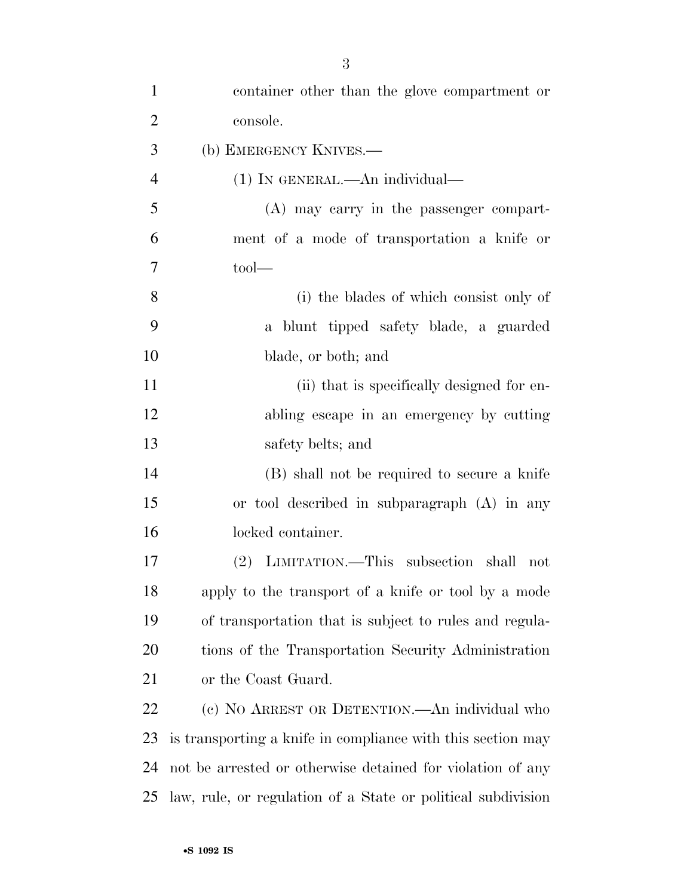| $\mathbf{1}$   | container other than the glove compartment or                |
|----------------|--------------------------------------------------------------|
| $\overline{2}$ | console.                                                     |
| 3              | (b) EMERGENCY KNIVES.—                                       |
| $\overline{4}$ | $(1)$ In GENERAL.—An individual—                             |
| 5              | (A) may carry in the passenger compart-                      |
| 6              | ment of a mode of transportation a knife or                  |
| 7              | $\text{tool}$ —                                              |
| 8              | (i) the blades of which consist only of                      |
| 9              | a blunt tipped safety blade, a guarded                       |
| 10             | blade, or both; and                                          |
| 11             | (ii) that is specifically designed for en-                   |
| 12             | abling escape in an emergency by cutting                     |
| 13             | safety belts; and                                            |
| 14             | (B) shall not be required to secure a knife                  |
| 15             | or tool described in subparagraph $(A)$ in any               |
| 16             | locked container.                                            |
| 17             | (2) LIMITATION.—This subsection shall<br>not                 |
| 18             | apply to the transport of a knife or tool by a mode          |
| 19             | of transportation that is subject to rules and regula-       |
| 20             | tions of the Transportation Security Administration          |
| 21             | or the Coast Guard.                                          |
| 22             | (c) NO ARREST OR DETENTION.—An individual who                |
| 23             | is transporting a knife in compliance with this section may  |
| 24             | not be arrested or otherwise detained for violation of any   |
| 25             | law, rule, or regulation of a State or political subdivision |
|                |                                                              |